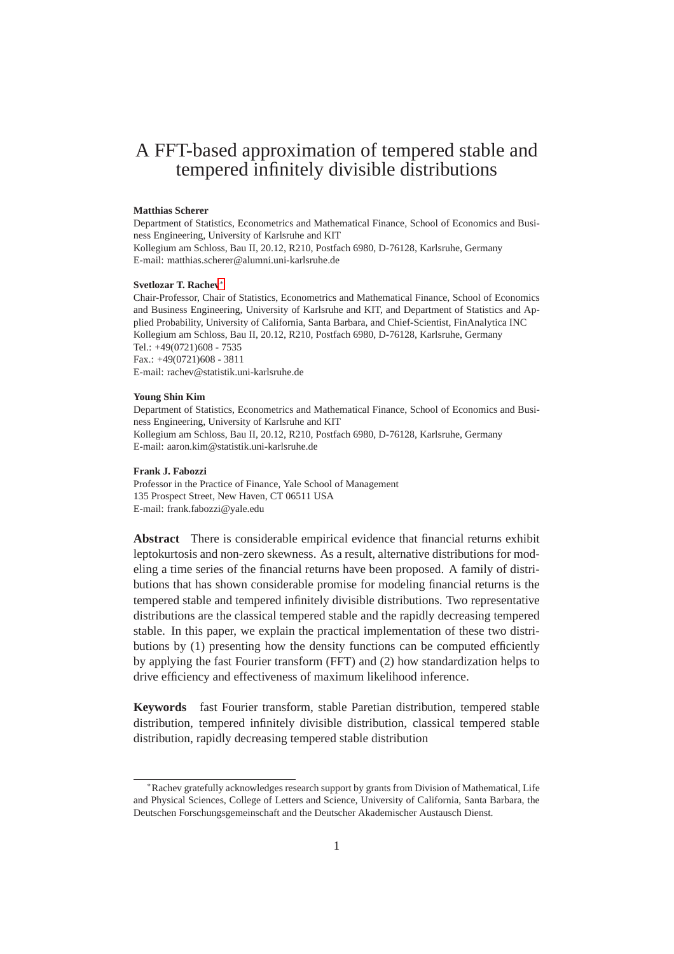# A FFT-based approximation of tempered stable and tempered infinitely divisible distributions

#### **Matthias Scherer**

Department of Statistics, Econometrics and Mathematical Finance, School of Economics and Business Engineering, University of Karlsruhe and KIT Kollegium am Schloss, Bau II, 20.12, R210, Postfach 6980, D-76128, Karlsruhe, Germany E-mail: matthias.scherer@alumni.uni-karlsruhe.de

#### **Svetlozar T. Rachev**<sup>∗</sup>

Chair-Professor, Chair of Statistics, Econometrics and Mathematical Finance, School of Economics and Business Engineering, University of Karlsruhe and KIT, and Department of Statistics and Applied Probability, University of California, Santa Barbara, and Chief-Scientist, FinAnalytica INC Kollegium am Schloss, Bau II, 20.12, R210, Postfach 6980, D-76128, Karlsruhe, Germany Tel.: +49(0721)608 - 7535 Fax.: +49(0721)608 - 3811 E-mail: rachev@statistik.uni-karlsruhe.de

#### **Young Shin Kim**

Department of Statistics, Econometrics and Mathematical Finance, School of Economics and Business Engineering, University of Karlsruhe and KIT Kollegium am Schloss, Bau II, 20.12, R210, Postfach 6980, D-76128, Karlsruhe, Germany E-mail: aaron.kim@statistik.uni-karlsruhe.de

#### **Frank J. Fabozzi**

Professor in the Practice of Finance, Yale School of Management 135 Prospect Street, New Haven, CT 06511 USA E-mail: frank.fabozzi@yale.edu

**Abstract** There is considerable empirical evidence that financial returns exhibit leptokurtosis and non-zero skewness. As a result, alternative distributions for modeling a time series of the financial returns have been proposed. A family of distributions that has shown considerable promise for modeling financial returns is the tempered stable and tempered infinitely divisible distributions. Two representative distributions are the classical tempered stable and the rapidly decreasing tempered stable. In this paper, we explain the practical implementation of these two distributions by (1) presenting how the density functions can be computed efficiently by applying the fast Fourier transform (FFT) and (2) how standardization helps to drive efficiency and effectiveness of maximum likelihood inference.

**Keywords** fast Fourier transform, stable Paretian distribution, tempered stable distribution, tempered infinitely divisible distribution, classical tempered stable distribution, rapidly decreasing tempered stable distribution

<sup>∗</sup>Rachev gratefully acknowledges research support by grants from Division of Mathematical, Life and Physical Sciences, College of Letters and Science, University of California, Santa Barbara, the Deutschen Forschungsgemeinschaft and the Deutscher Akademischer Austausch Dienst.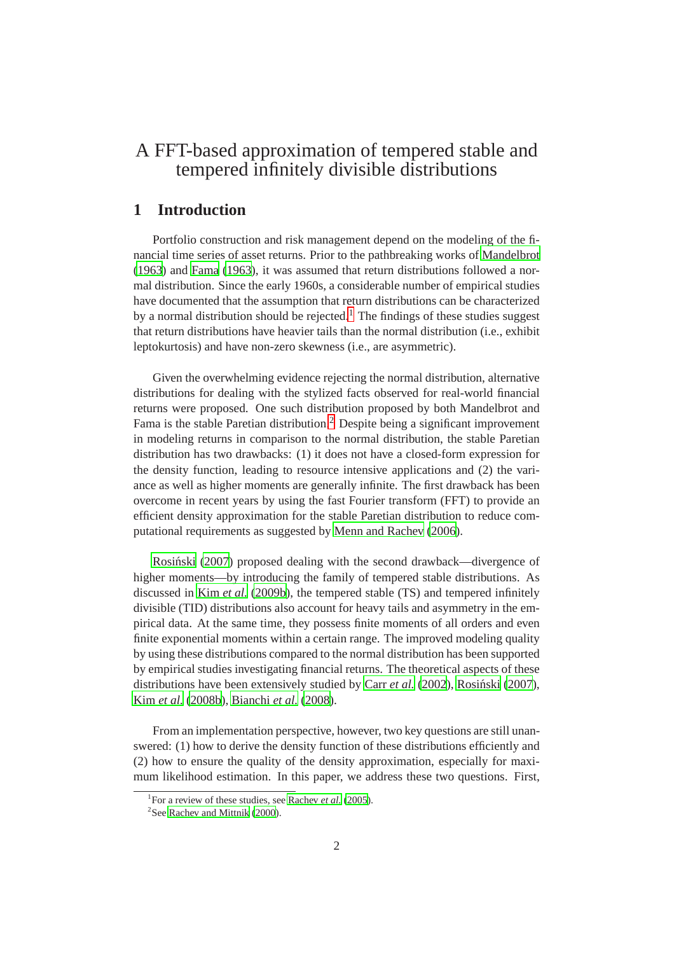# A FFT-based approximation of tempered stable and tempered infinitely divisible distributions

# **1 Introduction**

Portfolio construction and risk management depend on the modeling of the financial time series of asset returns. Prior to the pathbreaking works of [Mandelbrot](#page-15-0) [\(1963](#page-15-0)) and [Fama \(1963](#page-14-0)), it was assumed that return distributions followed a normal distribution. Since the early 1960s, a considerable number of empirical studies have documented that the assumption that return distributions can be characterized by a normal distribution should be rejected.<sup>1</sup> The findings of these studies suggest that return distributions have heavier tails than the normal distribution (i.e., exhibit leptokurtosis) and have non-zero skewness (i.e., are asymmetric).

Given the overwhelming evidence rejecting the normal distribution, alternative distributions for dealing with the stylized facts observed for real-world financial returns were proposed. One such distribution proposed by both Mandelbrot and Fama is the stable Paretian distribution.<sup>2</sup> Despite being a significant improvement in modeling returns in comparison to the normal distribution, the stable Paretian distribution has two drawbacks: (1) it does not have a closed-form expression for the density function, leading to resource intensive applications and (2) the variance as well as higher moments are generally infinite. The first drawback has been overcome in recent years by using the fast Fourier transform (FFT) to provide an efficient density approximation for the stable Paretian distribution to reduce computational requirements as suggested by [Menn and Rachev](#page-15-1) [\(2006](#page-15-1)).

Rosiński (2007) proposed dealing with the second drawback—divergence of higher moments—by introducing the family of tempered stable distributions. As discussed in Kim *[et al.](#page-15-3)* [\(2009b\)](#page-15-3), the tempered stable (TS) and tempered infinitely divisible (TID) distributions also account for heavy tails and asymmetry in the empirical data. At the same time, they possess finite moments of all orders and even finite exponential moments within a certain range. The improved modeling quality by using these distributions compared to the normal distribution has been supported by empirical studies investigating financial returns. The theoretical aspects of these distributions have been extensively studied by Carr *[et al.](#page-14-1)* [\(2002](#page-14-1)), Rosiński (2007), Kim *[et al.](#page-15-4)* [\(2008b](#page-15-4)), [Bianchi](#page-14-2) *et al.* [\(2008](#page-14-2)).

From an implementation perspective, however, two key questions are still unanswered: (1) how to derive the density function of these distributions efficiently and (2) how to ensure the quality of the density approximation, especially for maximum likelihood estimation. In this paper, we address these two questions. First,

<sup>&</sup>lt;sup>1</sup>For a review of these studies, see [Rachev](#page-15-5) *et al.* [\(2005](#page-15-5)).

<sup>&</sup>lt;sup>2</sup>See [Rachev and Mittnik \(2000](#page-15-6)).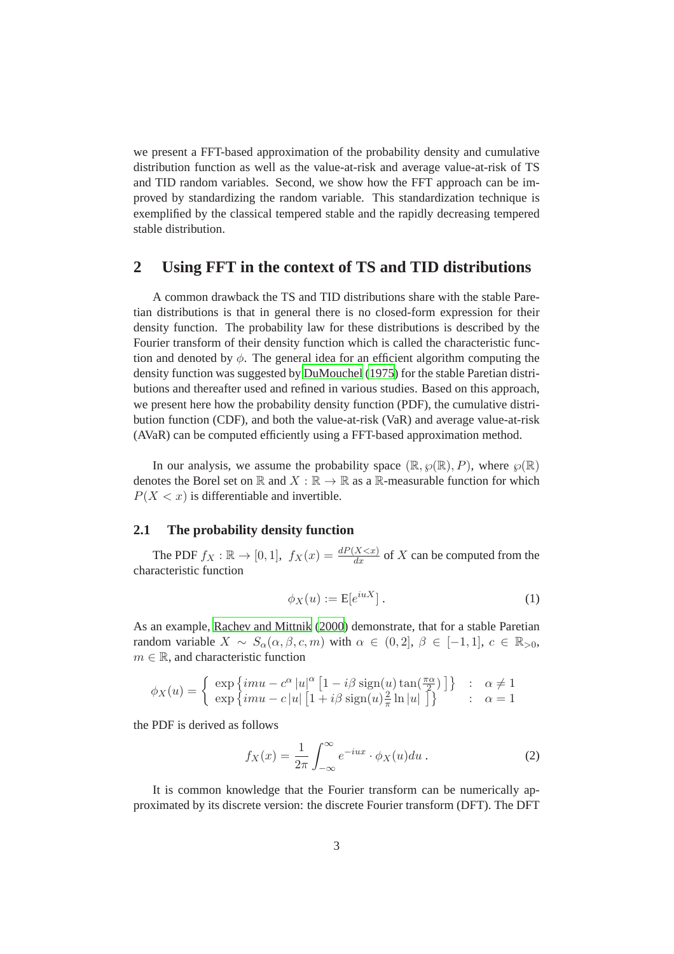we present a FFT-based approximation of the probability density and cumulative distribution function as well as the value-at-risk and average value-at-risk of TS and TID random variables. Second, we show how the FFT approach can be improved by standardizing the random variable. This standardization technique is exemplified by the classical tempered stable and the rapidly decreasing tempered stable distribution.

# **2 Using FFT in the context of TS and TID distributions**

A common drawback the TS and TID distributions share with the stable Paretian distributions is that in general there is no closed-form expression for their density function. The probability law for these distributions is described by the Fourier transform of their density function which is called the characteristic function and denoted by  $\phi$ . The general idea for an efficient algorithm computing the density function was suggested by [DuMouchel \(1975](#page-14-3)) for the stable Paretian distributions and thereafter used and refined in various studies. Based on this approach, we present here how the probability density function (PDF), the cumulative distribution function (CDF), and both the value-at-risk (VaR) and average value-at-risk (AVaR) can be computed efficiently using a FFT-based approximation method.

In our analysis, we assume the probability space  $(\mathbb{R}, \wp(\mathbb{R}), P)$ , where  $\wp(\mathbb{R})$ denotes the Borel set on  $\mathbb R$  and  $X : \mathbb R \to \mathbb R$  as a  $\mathbb R$ -measurable function for which  $P(X \leq x)$  is differentiable and invertible.

### **2.1 The probability density function**

The PDF  $f_X : \mathbb{R} \to [0, 1]$ ,  $f_X(x) = \frac{dP(X \le x)}{dx}$  of X can be computed from the characteristic function

$$
\phi_X(u) := \mathcal{E}[e^{iuX}].\tag{1}
$$

As an example, [Rachev and Mittnik](#page-15-6) [\(2000\)](#page-15-6) demonstrate, that for a stable Paretian random variable  $X \sim S_\alpha(\alpha, \beta, c, m)$  with  $\alpha \in (0, 2], \beta \in [-1, 1], c \in \mathbb{R}_{>0}$ ,  $m \in \mathbb{R}$ , and characteristic function

$$
\phi_X(u) = \left\{ \begin{array}{lcl} \exp \left\{ imu - c^{\alpha} \left| u \right|^{\alpha} \left[ 1 - i \beta \, \text{sign}(u) \, \text{tan}(\frac{\pi \alpha}{2}) \right] \right\} & : & \alpha \neq 1 \\ \exp \left\{ imu - c \left| u \right| \left[ 1 + i \beta \, \text{sign}(u) \frac{2}{\pi} \ln |u| \right] \right\} & : & \alpha = 1 \end{array} \right.
$$

the PDF is derived as follows

$$
f_X(x) = \frac{1}{2\pi} \int_{-\infty}^{\infty} e^{-iux} \cdot \phi_X(u) du.
$$
 (2)

It is common knowledge that the Fourier transform can be numerically approximated by its discrete version: the discrete Fourier transform (DFT). The DFT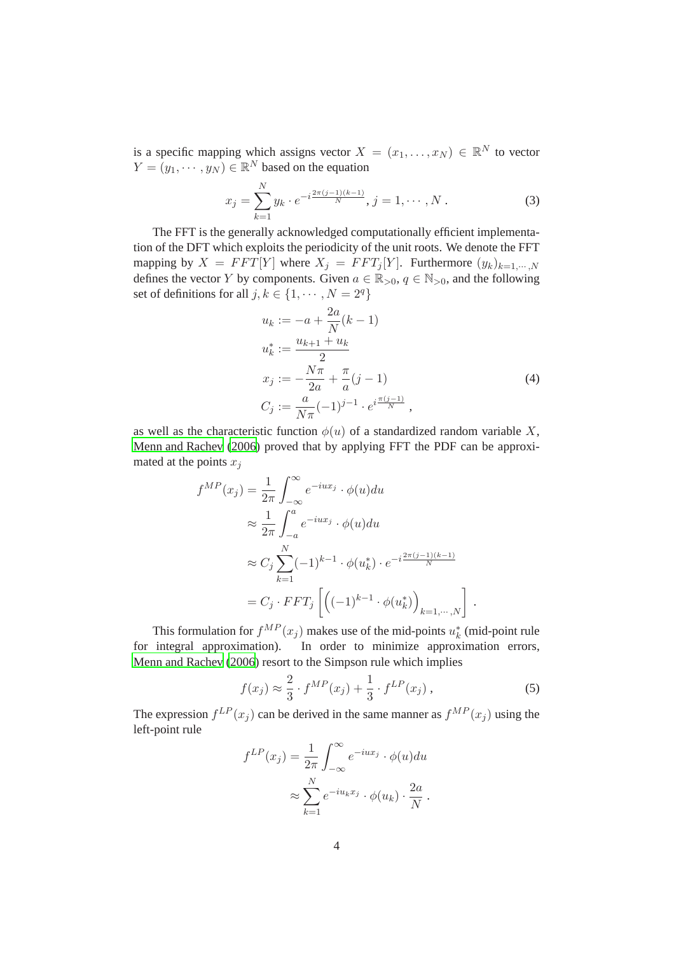is a specific mapping which assigns vector  $X = (x_1, \dots, x_N) \in \mathbb{R}^N$  to vector  $Y = (y_1, \dots, y_N) \in \mathbb{R}^N$  based on the equation

$$
x_j = \sum_{k=1}^{N} y_k \cdot e^{-i \frac{2\pi (j-1)(k-1)}{N}}, \, j = 1, \cdots, N \,.
$$
 (3)

The FFT is the generally acknowledged computationally efficient implementation of the DFT which exploits the periodicity of the unit roots. We denote the FFT mapping by  $X = FFT[Y]$  where  $X_j = FFT_j[Y]$ . Furthermore  $(y_k)_{k=1,\dots,N}$ defines the vector Y by components. Given  $a \in \mathbb{R}_{>0}$ ,  $q \in \mathbb{N}_{>0}$ , and the following set of definitions for all  $j, k \in \{1, \dots, N = 2^q\}$ 

$$
u_k := -a + \frac{2a}{N}(k-1)
$$
  
\n
$$
u_k^* := \frac{u_{k+1} + u_k}{2}
$$
  
\n
$$
x_j := -\frac{N\pi}{2a} + \frac{\pi}{a}(j-1)
$$
  
\n
$$
C_j := \frac{a}{N\pi}(-1)^{j-1} \cdot e^{i\frac{\pi(j-1)}{N}},
$$
\n(4)

as well as the characteristic function  $\phi(u)$  of a standardized random variable X, [Menn and Rachev \(2006](#page-15-1)) proved that by applying FFT the PDF can be approximated at the points  $x_j$ 

$$
f^{MP}(x_j) = \frac{1}{2\pi} \int_{-\infty}^{\infty} e^{-iux_j} \cdot \phi(u) du
$$
  
\n
$$
\approx \frac{1}{2\pi} \int_{-a}^{a} e^{-iux_j} \cdot \phi(u) du
$$
  
\n
$$
\approx C_j \sum_{k=1}^{N} (-1)^{k-1} \cdot \phi(u_k^*) \cdot e^{-i\frac{2\pi (j-1)(k-1)}{N}}
$$
  
\n
$$
= C_j \cdot FFT_j \left[ \left( (-1)^{k-1} \cdot \phi(u_k^*) \right)_{k=1,\dots,N} \right]
$$

This formulation for  $f^{MP}(x_j)$  makes use of the mid-points  $u_k^*$  (mid-point rule for integral approximation). In order to minimize approximation errors, [Menn and Rachev \(2006](#page-15-1)) resort to the Simpson rule which implies

$$
f(x_j) \approx \frac{2}{3} \cdot f^{MP}(x_j) + \frac{1}{3} \cdot f^{LP}(x_j) , \qquad (5)
$$

.

The expression  $f^{LP}(x_j)$  can be derived in the same manner as  $f^{MP}(x_j)$  using the left-point rule

$$
f^{LP}(x_j) = \frac{1}{2\pi} \int_{-\infty}^{\infty} e^{-iux_j} \cdot \phi(u) du
$$

$$
\approx \sum_{k=1}^{N} e^{-iu_k x_j} \cdot \phi(u_k) \cdot \frac{2a}{N}.
$$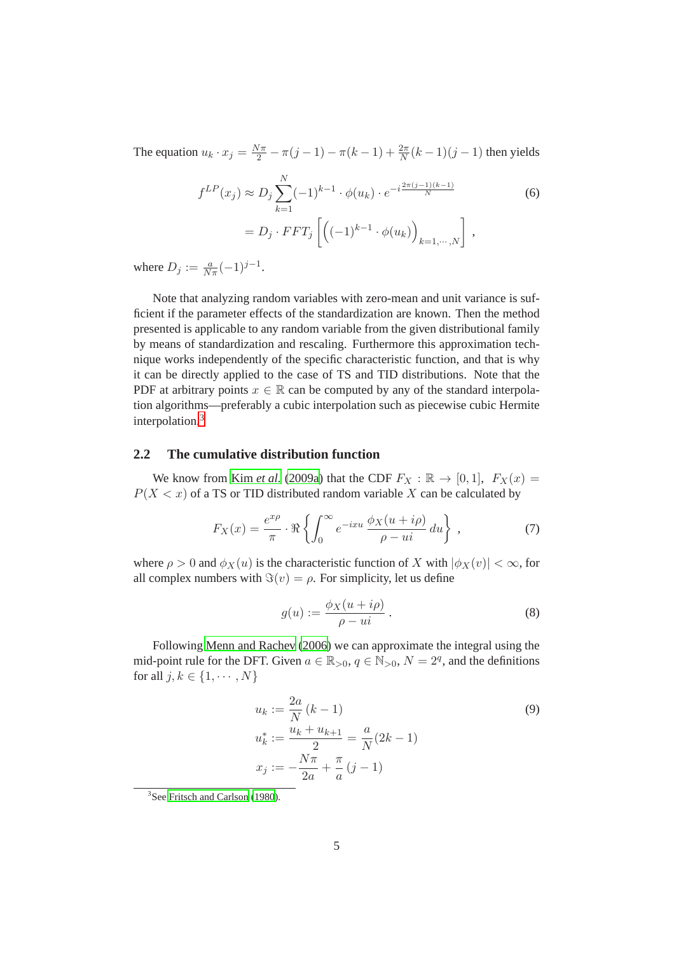The equation  $u_k \cdot x_j = \frac{N\pi}{2} - \pi(j-1) - \pi(k-1) + \frac{2\pi}{N}(k-1)(j-1)$  then yields

$$
f^{LP}(x_j) \approx D_j \sum_{k=1}^{N} (-1)^{k-1} \cdot \phi(u_k) \cdot e^{-i \frac{2\pi (j-1)(k-1)}{N}}
$$
(6)  
=  $D_j \cdot FFT_j \left[ \left( (-1)^{k-1} \cdot \phi(u_k) \right)_{k=1,\dots,N} \right],$ 

where  $D_j := \frac{a}{N\pi}(-1)^{j-1}$ .

Note that analyzing random variables with zero-mean and unit variance is sufficient if the parameter effects of the standardization are known. Then the method presented is applicable to any random variable from the given distributional family by means of standardization and rescaling. Furthermore this approximation technique works independently of the specific characteristic function, and that is why it can be directly applied to the case of TS and TID distributions. Note that the PDF at arbitrary points  $x \in \mathbb{R}$  can be computed by any of the standard interpolation algorithms—preferably a cubic interpolation such as piecewise cubic Hermite interpolation.<sup>3</sup>

### **2.2 The cumulative distribution function**

We know from Kim *[et al.](#page-15-7)* [\(2009a\)](#page-15-7) that the CDF  $F_X : \mathbb{R} \to [0, 1]$ ,  $F_X(x) =$  $P(X < x)$  of a TS or TID distributed random variable X can be calculated by

$$
F_X(x) = \frac{e^{x\rho}}{\pi} \cdot \Re \left\{ \int_0^\infty e^{-ixu} \frac{\phi_X(u + i\rho)}{\rho - ui} du \right\},\tag{7}
$$

where  $\rho > 0$  and  $\phi_X(u)$  is the characteristic function of X with  $|\phi_X(v)| < \infty$ , for all complex numbers with  $\Im(v) = \rho$ . For simplicity, let us define

<span id="page-4-0"></span>
$$
g(u) := \frac{\phi_X(u + i\rho)}{\rho - ui}.
$$
 (8)

Following [Menn and Rachev \(2006\)](#page-15-1) we can approximate the integral using the mid-point rule for the DFT. Given  $a \in \mathbb{R}_{>0}$ ,  $q \in \mathbb{N}_{>0}$ ,  $N = 2<sup>q</sup>$ , and the definitions for all  $j, k \in \{1, \cdots, N\}$ 

$$
u_k := \frac{2a}{N} (k - 1)
$$
  
\n
$$
u_k^* := \frac{u_k + u_{k+1}}{2} = \frac{a}{N} (2k - 1)
$$
  
\n
$$
x_j := -\frac{N\pi}{2a} + \frac{\pi}{a} (j - 1)
$$
\n(9)

<sup>&</sup>lt;sup>3</sup>See [Fritsch and Carlson](#page-14-4) [\(1980\)](#page-14-4).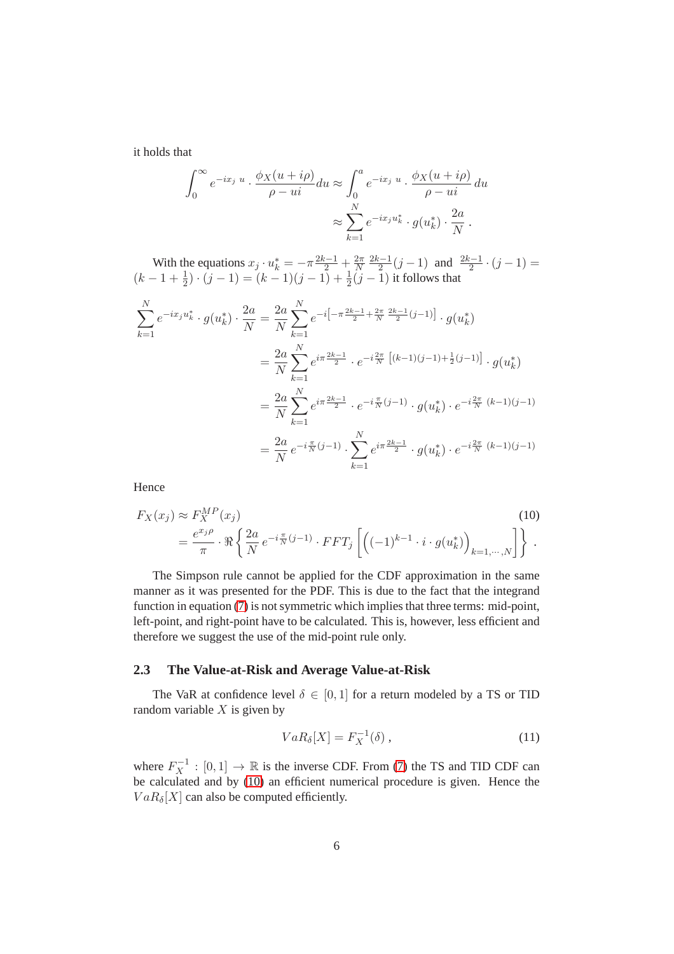it holds that

$$
\int_0^\infty e^{-ix_j u} \cdot \frac{\phi_X(u+i\rho)}{\rho - ui} du \approx \int_0^a e^{-ix_j u} \cdot \frac{\phi_X(u+i\rho)}{\rho - ui} du
$$

$$
\approx \sum_{k=1}^N e^{-ix_j u_k^*} \cdot g(u_k^*) \cdot \frac{2a}{N}.
$$

With the equations  $x_j \cdot u_k^* = -\pi \frac{2k-1}{2} + \frac{2\pi}{N}$ N  $\frac{2k-1}{k}$  $\frac{2^{i-1}}{2}(j-1)$  and  $\frac{2k-1}{2}\cdot(j-1) =$  $(k-1+\frac{1}{2}) \cdot (j-1) = (k-1)(j-1) + \frac{1}{2}(j-1)$  it follows that

$$
\sum_{k=1}^{N} e^{-ix_j u_k^*} \cdot g(u_k^*) \cdot \frac{2a}{N} = \frac{2a}{N} \sum_{k=1}^{N} e^{-i\left[-\pi \frac{2k-1}{2} + \frac{2\pi}{N} \frac{2k-1}{2} (j-1)\right]} \cdot g(u_k^*)
$$
  

$$
= \frac{2a}{N} \sum_{k=1}^{N} e^{i\pi \frac{2k-1}{2}} \cdot e^{-i\frac{2\pi}{N} \left[ (k-1)(j-1) + \frac{1}{2} (j-1) \right]} \cdot g(u_k^*)
$$
  

$$
= \frac{2a}{N} \sum_{k=1}^{N} e^{i\pi \frac{2k-1}{2}} \cdot e^{-i\frac{\pi}{N} (j-1)} \cdot g(u_k^*) \cdot e^{-i\frac{2\pi}{N} (k-1)(j-1)}
$$
  

$$
= \frac{2a}{N} e^{-i\frac{\pi}{N} (j-1)} \cdot \sum_{k=1}^{N} e^{i\pi \frac{2k-1}{2}} \cdot g(u_k^*) \cdot e^{-i\frac{2\pi}{N} (k-1)(j-1)}
$$

Hence

$$
F_X(x_j) \approx F_X^{MP}(x_j)
$$
\n
$$
= \frac{e^{x_j \rho}}{\pi} \cdot \Re \left\{ \frac{2a}{N} e^{-i \frac{\pi}{N} (j-1)} \cdot FFT_j \left[ \left( (-1)^{k-1} \cdot i \cdot g(u_k^*) \right)_{k=1,\dots,N} \right] \right\}.
$$
\n(10)

The Simpson rule cannot be applied for the CDF approximation in the same manner as it was presented for the PDF. This is due to the fact that the integrand function in equation [\(7\)](#page-4-0) is not symmetric which implies that three terms: mid-point, left-point, and right-point have to be calculated. This is, however, less efficient and therefore we suggest the use of the mid-point rule only.

### **2.3 The Value-at-Risk and Average Value-at-Risk**

The VaR at confidence level  $\delta \in [0,1]$  for a return modeled by a TS or TID random variable  $X$  is given by

<span id="page-5-0"></span>
$$
VaR_{\delta}[X] = F_X^{-1}(\delta) \,, \tag{11}
$$

where  $F_X^{-1} : [0,1] \to \mathbb{R}$  is the inverse CDF. From [\(7\)](#page-4-0) the TS and TID CDF can be calculated and by [\(10\)](#page-5-0) an efficient numerical procedure is given. Hence the  $VaR_{\delta}[X]$  can also be computed efficiently.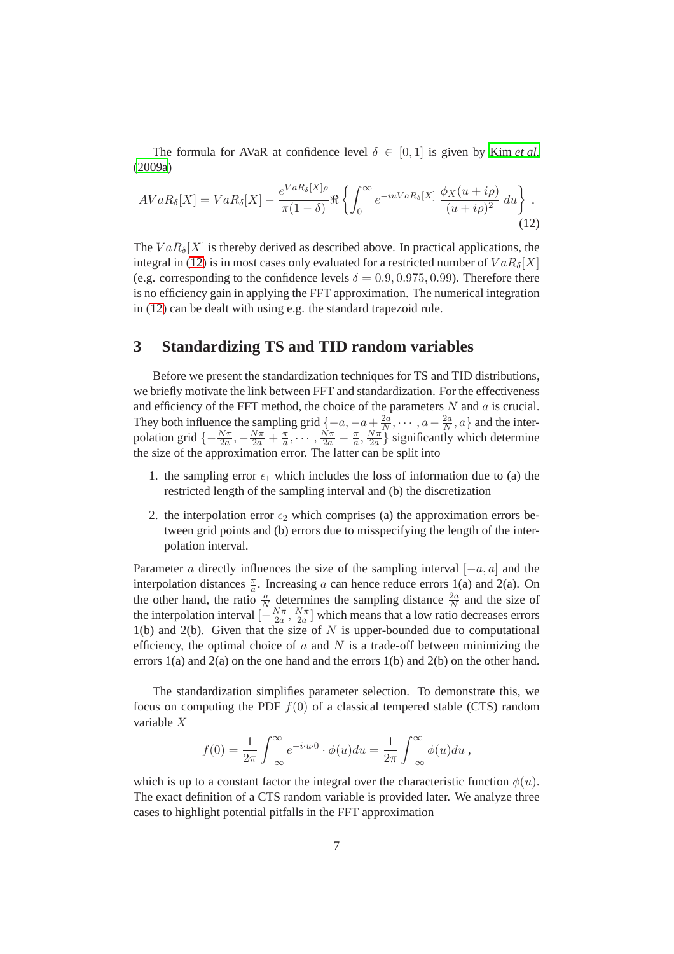The formula for AVaR at confidence level  $\delta \in [0,1]$  is given by Kim *[et al.](#page-15-7)* [\(2009a](#page-15-7))

<span id="page-6-0"></span>
$$
AVaR_{\delta}[X] = VaR_{\delta}[X] - \frac{e^{VaR_{\delta}[X]\rho}}{\pi(1-\delta)}\Re\left\{\int_0^\infty e^{-iuVaR_{\delta}[X]}\frac{\phi_X(u+i\rho)}{(u+i\rho)^2}du\right\}.
$$
\n(12)

The  $VaR_{\delta}[X]$  is thereby derived as described above. In practical applications, the integral in [\(12\)](#page-6-0) is in most cases only evaluated for a restricted number of  $VaR_{\delta}[X]$ (e.g. corresponding to the confidence levels  $\delta = 0.9, 0.975, 0.99$ ). Therefore there is no efficiency gain in applying the FFT approximation. The numerical integration in [\(12\)](#page-6-0) can be dealt with using e.g. the standard trapezoid rule.

## **3 Standardizing TS and TID random variables**

Before we present the standardization techniques for TS and TID distributions, we briefly motivate the link between FFT and standardization. For the effectiveness and efficiency of the FFT method, the choice of the parameters  $N$  and  $\alpha$  is crucial. They both influence the sampling grid  $\{-a, -a + \frac{2a}{N}\}$  $\frac{2a}{N}, \cdots, a-\frac{2a}{N}$  $\frac{2a}{N}, a$  and the interpolation grid  $\{-\frac{N\pi}{2a}, -\frac{N\pi}{2a} + \frac{\pi}{a}\}$  $\frac{\pi}{a},\cdots,\frac{N\pi}{2a}-\frac{\pi}{a}$  $\frac{\pi}{a}, \frac{N\pi}{2a}$  $\frac{N\pi}{2a}$  significantly which determine the size of the approximation error. The latter can be split into

- 1. the sampling error  $\epsilon_1$  which includes the loss of information due to (a) the restricted length of the sampling interval and (b) the discretization
- 2. the interpolation error  $\epsilon_2$  which comprises (a) the approximation errors between grid points and (b) errors due to misspecifying the length of the interpolation interval.

Parameter a directly influences the size of the sampling interval  $[-a, a]$  and the interpolation distances  $\frac{\pi}{a}$ . Increasing a can hence reduce errors 1(a) and 2(a). On the other hand, the ratio  $\frac{a}{N}$  determines the sampling distance  $\frac{2a}{N}$  and the size of the interpolation interval  $\left[-\frac{N\pi}{2a}\right]$  $\frac{N\pi}{2a}, \frac{N\pi}{2a}$  $\frac{N\pi}{2a}$  which means that a low ratio decreases errors  $1(b)$  and  $2(b)$ . Given that the size of N is upper-bounded due to computational efficiency, the optimal choice of  $a$  and  $N$  is a trade-off between minimizing the errors 1(a) and 2(a) on the one hand and the errors 1(b) and 2(b) on the other hand.

The standardization simplifies parameter selection. To demonstrate this, we focus on computing the PDF  $f(0)$  of a classical tempered stable (CTS) random variable X

$$
f(0) = \frac{1}{2\pi} \int_{-\infty}^{\infty} e^{-i \cdot u \cdot 0} \cdot \phi(u) du = \frac{1}{2\pi} \int_{-\infty}^{\infty} \phi(u) du,
$$

which is up to a constant factor the integral over the characteristic function  $\phi(u)$ . The exact definition of a CTS random variable is provided later. We analyze three cases to highlight potential pitfalls in the FFT approximation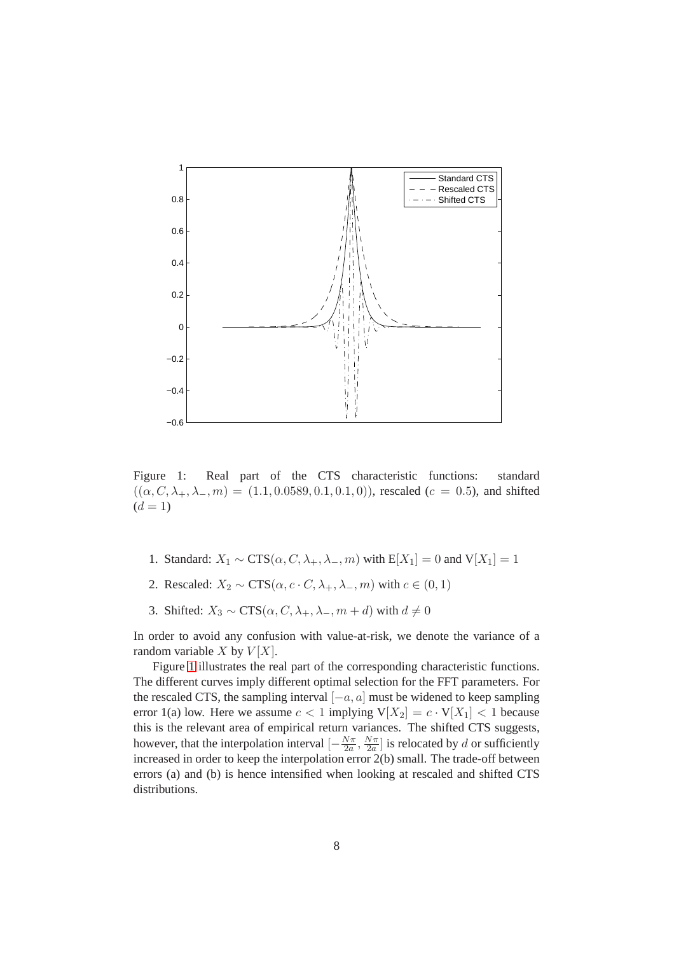<span id="page-7-0"></span>

Figure 1: Real part of the CTS characteristic functions: standard  $((\alpha, C, \lambda_+, \lambda_-, m) = (1.1, 0.0589, 0.1, 0.1, 0))$ , rescaled  $(c = 0.5)$ , and shifted  $(d = 1)$ 

- 1. Standard:  $X_1 \sim \text{CTS}(\alpha, C, \lambda_+, \lambda_-, m)$  with  $E[X_1] = 0$  and  $V[X_1] = 1$
- 2. Rescaled:  $X_2 \sim \text{CTS}(\alpha, c \cdot C, \lambda_+, \lambda_-, m)$  with  $c \in (0, 1)$
- 3. Shifted:  $X_3 \sim \text{CTS}(\alpha, C, \lambda_+, \lambda_-, m + d)$  with  $d \neq 0$

In order to avoid any confusion with value-at-risk, we denote the variance of a random variable X by  $V[X]$ .

Figure [1](#page-7-0) illustrates the real part of the corresponding characteristic functions. The different curves imply different optimal selection for the FFT parameters. For the rescaled CTS, the sampling interval  $[-a, a]$  must be widened to keep sampling error 1(a) low. Here we assume  $c < 1$  implying  $V[X_2] = c \cdot V[X_1] < 1$  because this is the relevant area of empirical return variances. The shifted CTS suggests, however, that the interpolation interval  $\left[-\frac{N\pi}{2a}\right]$  $\frac{N\pi}{2a}, \frac{N\pi}{2a}$  $\frac{\sqrt{2\pi}}{2a}$  is relocated by d or sufficiently increased in order to keep the interpolation error 2(b) small. The trade-off between errors (a) and (b) is hence intensified when looking at rescaled and shifted CTS distributions.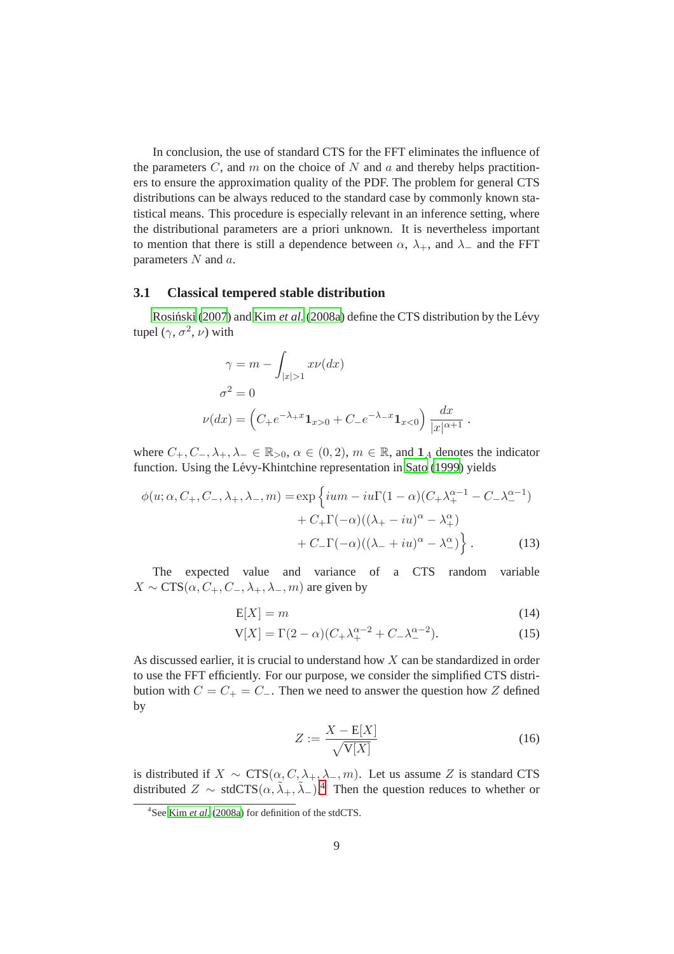In conclusion, the use of standard CTS for the FFT eliminates the influence of the parameters  $C$ , and  $m$  on the choice of  $N$  and  $a$  and thereby helps practitioners to ensure the approximation quality of the PDF. The problem for general CTS distributions can be always reduced to the standard case by commonly known statistical means. This procedure is especially relevant in an inference setting, where the distributional parameters are a priori unknown. It is nevertheless important to mention that there is still a dependence between  $\alpha$ ,  $\lambda_+$ , and  $\lambda_-$  and the FFT parameters  $N$  and  $a$ .

## **3.1 Classical tempered stable distribution**

Rosiński [\(2007\)](#page-15-2) and Kim [et al.](#page-15-8) [\(2008a\)](#page-15-8) define the CTS distribution by the Lévy tupel  $(\gamma, \sigma^2, \nu)$  with

$$
\gamma = m - \int_{|x|>1} x\nu(dx)
$$
  
\n
$$
\sigma^2 = 0
$$
  
\n
$$
\nu(dx) = \left(C_+e^{-\lambda_+x}\mathbf{1}_{x>0} + C_-e^{-\lambda_-x}\mathbf{1}_{x<0}\right)\frac{dx}{|x|^{\alpha+1}}.
$$

where  $C_+, C_-, \lambda_+, \lambda_- \in \mathbb{R}_{>0}, \alpha \in (0, 2), m \in \mathbb{R}$ , and  $\mathbf{1}_A$  denotes the indicator function. Using the Lévy-Khintchine representation in [Sato](#page-15-9) [\(1999\)](#page-15-9) yields

$$
\phi(u; \alpha, C_+, C_-, \lambda_+, \lambda_-, m) = \exp\left\{ium - iu\Gamma(1-\alpha)(C_+\lambda_+^{\alpha-1} - C_-\lambda_-^{\alpha-1}) + C_+\Gamma(-\alpha)((\lambda_+ - iu)^{\alpha} - \lambda_+^{\alpha}) + C_-\Gamma(-\alpha)((\lambda_- + iu)^{\alpha} - \lambda_-^{\alpha})\right\}.
$$
\n(13)

The expected value and variance of a CTS random variable  $X \sim \text{CTS}(\alpha, C_+, C_-, \lambda_+, \lambda_-, m)$  are given by

$$
E[X] = m \tag{14}
$$

$$
V[X] = \Gamma(2 - \alpha)(C_{+} \lambda_{+}^{\alpha - 2} + C_{-} \lambda_{-}^{\alpha - 2}).
$$
\n(15)

As discussed earlier, it is crucial to understand how  $X$  can be standardized in order to use the FFT efficiently. For our purpose, we consider the simplified CTS distribution with  $C = C_+ = C_-$ . Then we need to answer the question how Z defined by

<span id="page-8-0"></span>
$$
Z := \frac{X - \mathbb{E}[X]}{\sqrt{\mathbb{V}[X]}}\tag{16}
$$

is distributed if  $X \sim \text{CTS}(\alpha, C, \lambda_+, \lambda_-, m)$ . Let us assume Z is standard CTS distributed  $Z \sim \text{stdCTS}(\alpha, \tilde{\lambda}_+, \tilde{\lambda}_-)^{4}$  Then the question reduces to whether or

<sup>4</sup> See Kim *[et al.](#page-15-8)* [\(2008a](#page-15-8)) for definition of the stdCTS.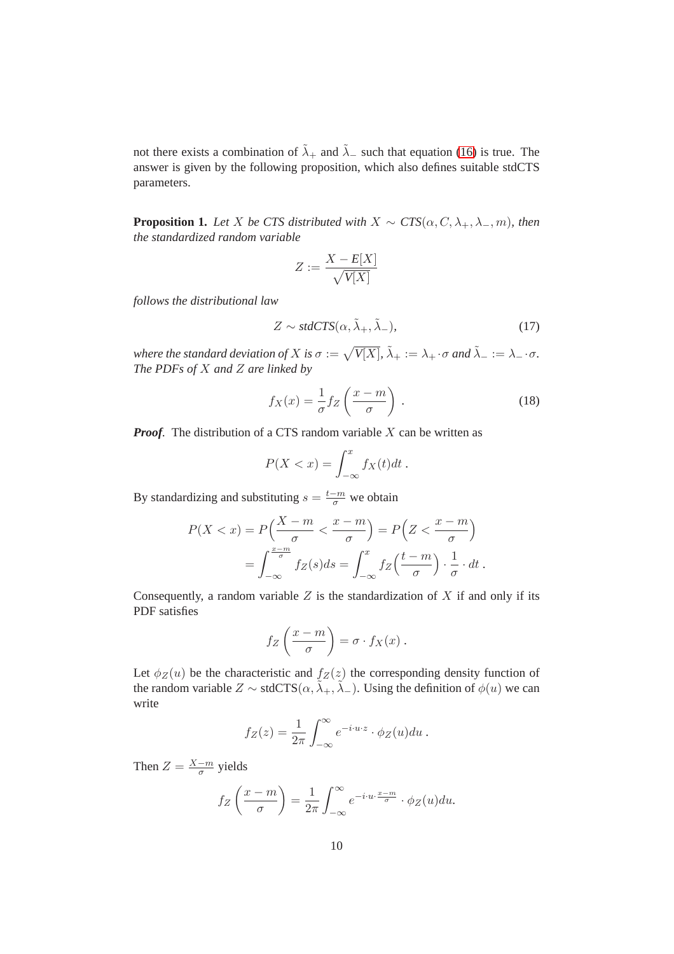not there exists a combination of  $\tilde{\lambda}_+$  and  $\tilde{\lambda}_-$  such that equation [\(16\)](#page-8-0) is true. The answer is given by the following proposition, which also defines suitable stdCTS parameters.

<span id="page-9-0"></span>**Proposition 1.** *Let* X *be CTS distributed with*  $X \sim CTS(\alpha, C, \lambda_+, \lambda_-, m)$ *, then the standardized random variable*

$$
Z:=\frac{X-E[X]}{\sqrt{V[X]}}
$$

*follows the distributional law*

$$
Z \sim stdCTS(\alpha, \tilde{\lambda}_{+}, \tilde{\lambda}_{-}), \qquad (17)
$$

where the standard deviation of  $X$  is  $\sigma:=\sqrt{V[X]}$ ,  $\tilde\lambda_+:=\lambda_+\cdot\sigma$  and  $\tilde\lambda_-:=\lambda_-\cdot\sigma.$ *The PDFs of* X *and* Z *are linked by*

$$
f_X(x) = \frac{1}{\sigma} f_Z\left(\frac{x-m}{\sigma}\right) \,. \tag{18}
$$

*Proof.* The distribution of a CTS random variable X can be written as

$$
P(X < x) = \int_{-\infty}^{x} f_X(t) \, dt \, .
$$

By standardizing and substituting  $s = \frac{t-m}{\sigma}$  we obtain

$$
P(X < x) = P\left(\frac{X-m}{\sigma} < \frac{x-m}{\sigma}\right) = P\left(Z < \frac{x-m}{\sigma}\right)
$$
\n
$$
= \int_{-\infty}^{\frac{x-m}{\sigma}} f_Z(s)ds = \int_{-\infty}^x f_Z\left(\frac{t-m}{\sigma}\right) \cdot \frac{1}{\sigma} \cdot dt \,.
$$

Consequently, a random variable  $Z$  is the standardization of  $X$  if and only if its PDF satisfies

$$
f_Z\left(\frac{x-m}{\sigma}\right) = \sigma \cdot f_X(x) .
$$

Let  $\phi_Z(u)$  be the characteristic and  $f_Z(z)$  the corresponding density function of the random variable  $Z \sim \text{stdCTS}(\alpha, \tilde{\lambda}_+, \tilde{\lambda}_-)$ . Using the definition of  $\phi(u)$  we can write

$$
f_Z(z) = \frac{1}{2\pi} \int_{-\infty}^{\infty} e^{-i \cdot u \cdot z} \cdot \phi_Z(u) du.
$$

Then  $Z = \frac{X-m}{\sigma}$  $\frac{-m}{\sigma}$  yields

$$
f_Z\left(\frac{x-m}{\sigma}\right) = \frac{1}{2\pi} \int_{-\infty}^{\infty} e^{-i \cdot u \cdot \frac{x-m}{\sigma}} \cdot \phi_Z(u) du.
$$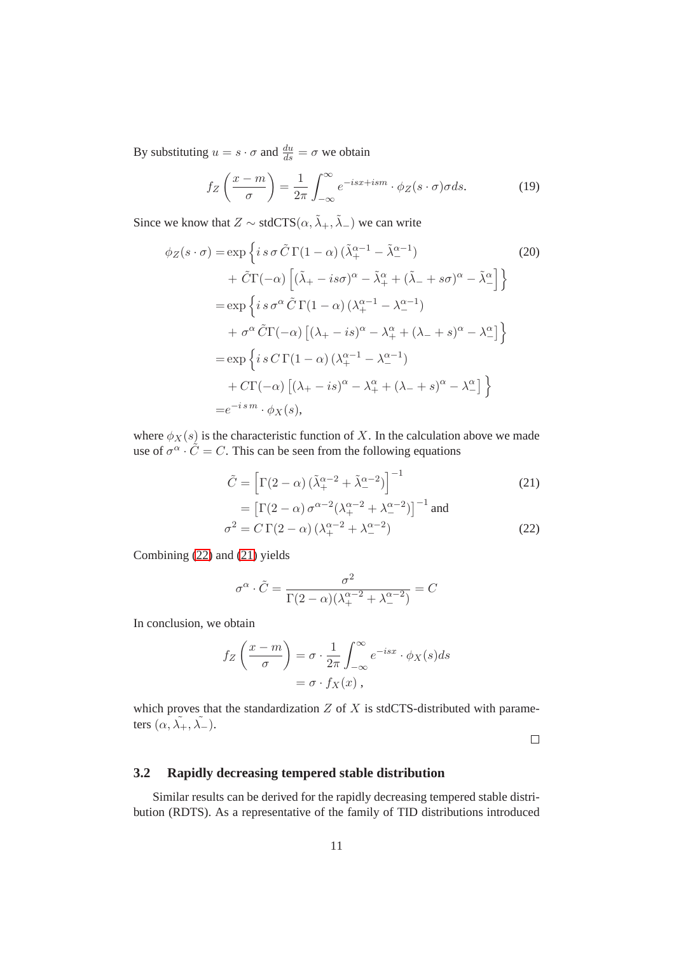By substituting  $u = s \cdot \sigma$  and  $\frac{du}{ds} = \sigma$  we obtain

$$
f_Z\left(\frac{x-m}{\sigma}\right) = \frac{1}{2\pi} \int_{-\infty}^{\infty} e^{-isx+ism} \cdot \phi_Z(s \cdot \sigma) \sigma ds. \tag{19}
$$

Since we know that  $Z \sim \text{stdCTS}(\alpha, \tilde{\lambda}_+, \tilde{\lambda}_-)$  we can write

$$
\phi_Z(s \cdot \sigma) = \exp\left\{ i s \sigma \tilde{C} \Gamma(1-\alpha) \left( \tilde{\lambda}_+^{\alpha-1} - \tilde{\lambda}_-^{\alpha-1} \right) \right\}
$$
\n
$$
+ \tilde{C} \Gamma(-\alpha) \left[ \left( \tilde{\lambda}_+ - i s \sigma \right)^\alpha - \tilde{\lambda}_+^\alpha + \left( \tilde{\lambda}_- + s \sigma \right)^\alpha - \tilde{\lambda}_-^\alpha \right] \right\}
$$
\n
$$
= \exp\left\{ i s \sigma^\alpha \tilde{C} \Gamma(1-\alpha) \left( \lambda_+^{\alpha-1} - \lambda_-^{\alpha-1} \right) \right.
$$
\n
$$
+ \sigma^\alpha \tilde{C} \Gamma(-\alpha) \left[ \left( \lambda_+ - i s \right)^\alpha - \lambda_+^\alpha + \left( \lambda_- + s \right)^\alpha - \lambda_-^\alpha \right] \right\}
$$
\n
$$
= \exp\left\{ i s C \Gamma(1-\alpha) \left( \lambda_+^{\alpha-1} - \lambda_-^{\alpha-1} \right) \right.
$$
\n
$$
+ C \Gamma(-\alpha) \left[ \left( \lambda_+ - i s \right)^\alpha - \lambda_+^\alpha + \left( \lambda_- + s \right)^\alpha - \lambda_-^\alpha \right] \right\}
$$
\n
$$
= e^{-i s m} \cdot \phi_X(s),
$$
\n(20)

where  $\phi_X(s)$  is the characteristic function of X. In the calculation above we made use of  $\sigma^{\alpha} \cdot \tilde{C} = C$ . This can be seen from the following equations

$$
\tilde{C} = \left[\Gamma(2-\alpha)\left(\tilde{\lambda}_+^{\alpha-2} + \tilde{\lambda}_-^{\alpha-2}\right)\right]^{-1}
$$
\n
$$
= \left[\Gamma(2-\alpha)\sigma^{\alpha-2}(\lambda_+^{\alpha-2} + \lambda_-^{\alpha-2})\right]^{-1}
$$
\nand\n
$$
\sigma^2 = C\Gamma(2-\alpha)\left(\lambda_+^{\alpha-2} + \lambda_-^{\alpha-2}\right)
$$
\n(22)

Combining [\(22\)](#page-10-0) and [\(21\)](#page-10-1) yields

$$
\sigma^{\alpha} \cdot \tilde{C} = \frac{\sigma^2}{\Gamma(2-\alpha)(\lambda_+^{\alpha-2} + \lambda_-^{\alpha-2})} = C
$$

In conclusion, we obtain

$$
f_Z\left(\frac{x-m}{\sigma}\right) = \sigma \cdot \frac{1}{2\pi} \int_{-\infty}^{\infty} e^{-isx} \cdot \phi_X(s) ds
$$

$$
= \sigma \cdot f_X(x),
$$

which proves that the standardization  $Z$  of  $X$  is stdCTS-distributed with parameters  $(\alpha, \tilde{\lambda_+}, \tilde{\lambda_-}).$ 

<span id="page-10-1"></span><span id="page-10-0"></span> $\Box$ 

## **3.2 Rapidly decreasing tempered stable distribution**

Similar results can be derived for the rapidly decreasing tempered stable distribution (RDTS). As a representative of the family of TID distributions introduced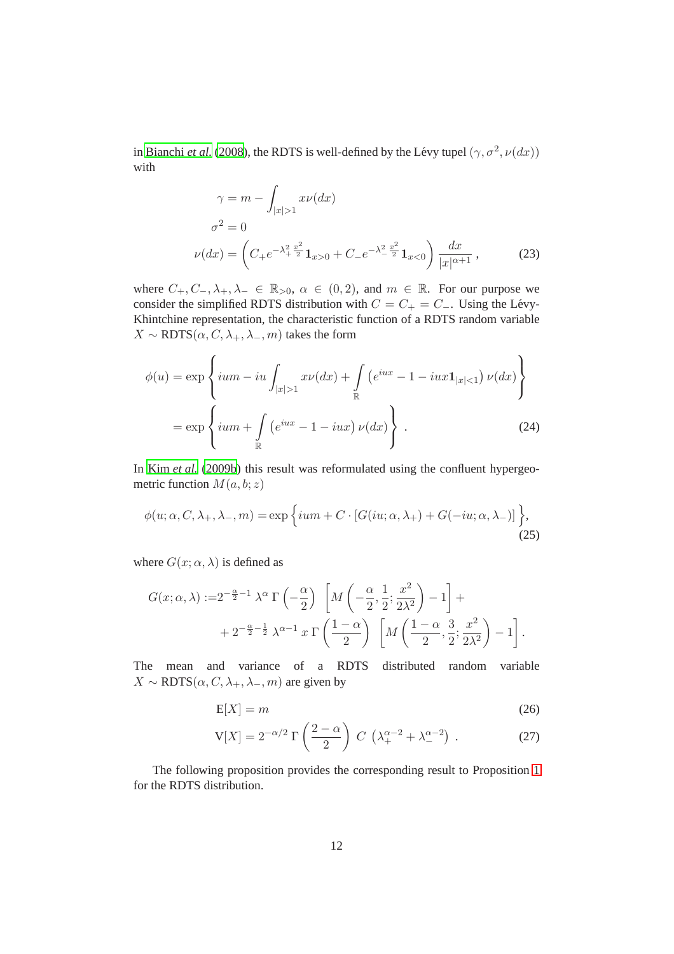in [Bianchi](#page-14-2) *et al.* [\(2008\)](#page-14-2), the RDTS is well-defined by the Lévy tupel  $(\gamma, \sigma^2, \nu(dx))$ with

<span id="page-11-1"></span>
$$
\gamma = m - \int_{|x|>1} x\nu(dx)
$$
  
\n
$$
\sigma^2 = 0
$$
  
\n
$$
\nu(dx) = \left( C_+ e^{-\lambda_+^2 \frac{x^2}{2}} \mathbf{1}_{x>0} + C_- e^{-\lambda_-^2 \frac{x^2}{2}} \mathbf{1}_{x<0} \right) \frac{dx}{|x|^{\alpha+1}},
$$
\n(23)

where  $C_+, C_-, \lambda_+, \lambda_- \in \mathbb{R}_{>0}, \alpha \in (0, 2)$ , and  $m \in \mathbb{R}$ . For our purpose we consider the simplified RDTS distribution with  $C = C_+ = C_-$ . Using the Lévy-Khintchine representation, the characteristic function of a RDTS random variable  $X \sim \text{RDTS}(\alpha, C, \lambda_+, \lambda_-, m)$  takes the form

<span id="page-11-0"></span>
$$
\phi(u) = \exp\left\{ium - iu \int_{|x|>1} x\nu(dx) + \int_{\mathbb{R}} \left(e^{iux} - 1 - iux\mathbf{1}_{|x|<1}\right) \nu(dx)\right\}
$$

$$
= \exp\left\{ium + \int_{\mathbb{R}} \left(e^{iux} - 1 - iux\right) \nu(dx)\right\}.
$$
(24)

In Kim *[et al.](#page-15-3)* [\(2009b](#page-15-3)) this result was reformulated using the confluent hypergeometric function  $M(a, b; z)$ 

$$
\phi(u; \alpha, C, \lambda_+, \lambda_-, m) = \exp\left\{ium + C \cdot [G(iu; \alpha, \lambda_+) + G(-iu; \alpha, \lambda_-)]\right\},\tag{25}
$$

where  $G(x; \alpha, \lambda)$  is defined as

$$
G(x; \alpha, \lambda) := 2^{-\frac{\alpha}{2}-1} \lambda^{\alpha} \Gamma\left(-\frac{\alpha}{2}\right) \left[M\left(-\frac{\alpha}{2}, \frac{1}{2}; \frac{x^2}{2\lambda^2}\right) - 1\right] +
$$
  
+ 
$$
2^{-\frac{\alpha}{2}-\frac{1}{2}} \lambda^{\alpha-1} x \Gamma\left(\frac{1-\alpha}{2}\right) \left[M\left(\frac{1-\alpha}{2}, \frac{3}{2}; \frac{x^2}{2\lambda^2}\right) - 1\right].
$$

The mean and variance of a RDTS distributed random variable  $X \sim \text{RDTS}(\alpha, C, \lambda_+, \lambda_-, m)$  are given by

$$
E[X] = m \tag{26}
$$

$$
V[X] = 2^{-\alpha/2} \Gamma\left(\frac{2-\alpha}{2}\right) C \left(\lambda_+^{\alpha-2} + \lambda_-^{\alpha-2}\right). \tag{27}
$$

The following proposition provides the corresponding result to Proposition [1](#page-9-0) for the RDTS distribution.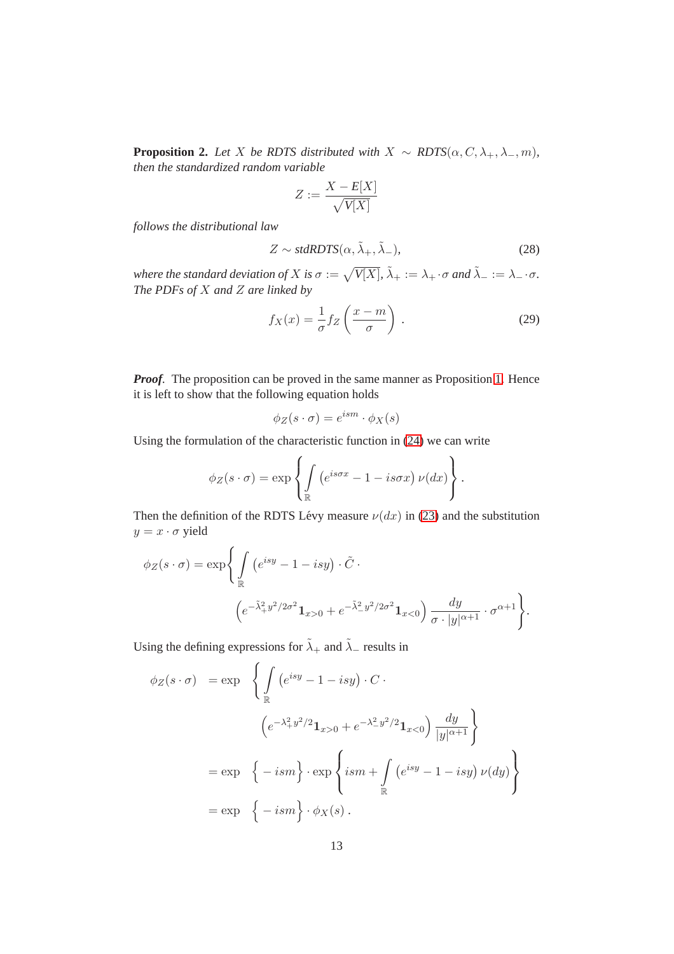**Proposition 2.** *Let* X *be RDTS distributed with*  $X \sim RDTS(\alpha, C, \lambda_+, \lambda_-, m)$ *, then the standardized random variable*

$$
Z:=\frac{X-E[X]}{\sqrt{V[X]}}
$$

*follows the distributional law*

$$
Z \sim stdRDTS(\alpha, \tilde{\lambda}_{+}, \tilde{\lambda}_{-}),
$$
\n(28)

where the standard deviation of  $X$  is  $\sigma:=\sqrt{V[X]}$ ,  $\tilde\lambda_+:=\lambda_+\cdot\sigma$  and  $\tilde\lambda_-:=\lambda_-\cdot\sigma.$ *The PDFs of* X *and* Z *are linked by*

$$
f_X(x) = \frac{1}{\sigma} f_Z\left(\frac{x-m}{\sigma}\right). \tag{29}
$$

*Proof.* The proposition can be proved in the same manner as Proposition [1.](#page-9-0) Hence it is left to show that the following equation holds

$$
\phi_Z(s \cdot \sigma) = e^{ism} \cdot \phi_X(s)
$$

Using the formulation of the characteristic function in [\(24\)](#page-11-0) we can write

$$
\phi_Z(s \cdot \sigma) = \exp\left\{ \int_{\mathbb{R}} \left( e^{is\sigma x} - 1 - is\sigma x \right) \nu(dx) \right\}.
$$

Then the definition of the RDTS Lévy measure  $\nu(dx)$  in [\(23\)](#page-11-1) and the substitution  $y = x \cdot \sigma$  yield

$$
\phi_Z(s \cdot \sigma) = \exp\left\{ \int_{\mathbb{R}} \left( e^{isy} - 1 - isy \right) \cdot \tilde{C} \cdot \left( e^{-\tilde{\lambda}_+^2 y^2 / 2\sigma^2} \mathbf{1}_{x>0} + e^{-\tilde{\lambda}_-^2 y^2 / 2\sigma^2} \mathbf{1}_{x<0} \right) \frac{dy}{\sigma \cdot |y|^{\alpha+1}} \cdot \sigma^{\alpha+1} \right\}.
$$

Using the defining expressions for  $\tilde{\lambda}_+$  and  $\tilde{\lambda}_-$  results in

$$
\phi_Z(s \cdot \sigma) = \exp \left\{ \int_{\mathbb{R}} \left( e^{isy} - 1 - isy \right) \cdot C \cdot \left( e^{-\lambda_+^2 y^2 / 2} \mathbf{1}_{x>0} + e^{-\lambda_-^2 y^2 / 2} \mathbf{1}_{x<0} \right) \frac{dy}{|y|^{\alpha+1}} \right\}
$$
  

$$
= \exp \left\{ -ism \right\} \cdot \exp \left\{ ism + \int_{\mathbb{R}} \left( e^{isy} - 1 - isy \right) \nu(dy) \right\}
$$
  

$$
= \exp \left\{ -ism \right\} \cdot \phi_X(s) .
$$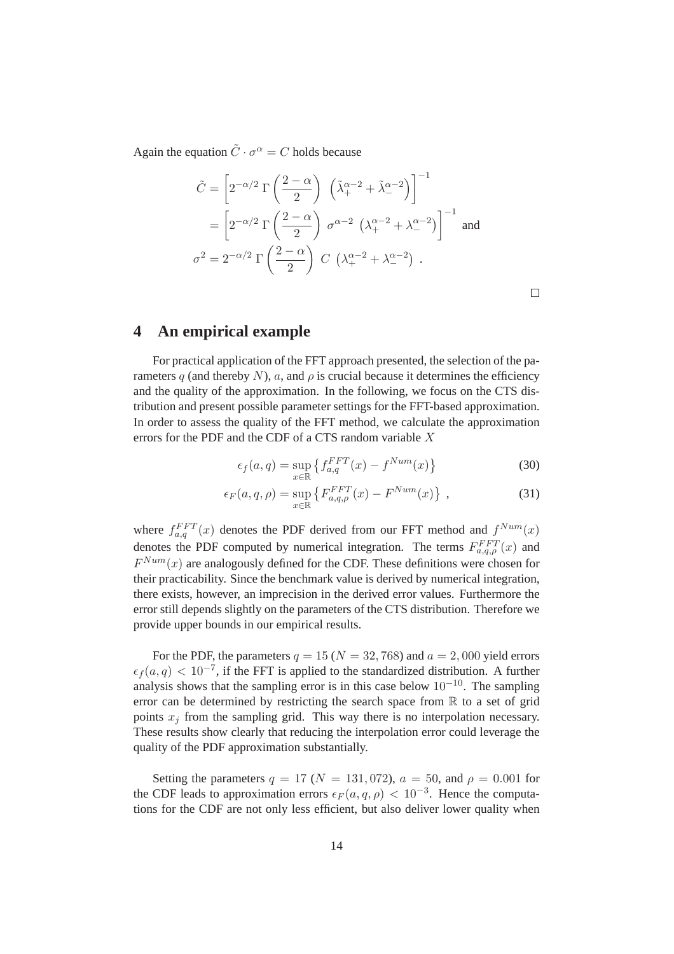Again the equation  $\tilde{C} \cdot \sigma^{\alpha} = C$  holds because

$$
\tilde{C} = \left[2^{-\alpha/2} \Gamma\left(\frac{2-\alpha}{2}\right) \left(\tilde{\lambda}_+^{\alpha-2} + \tilde{\lambda}_-^{\alpha-2}\right)\right]^{-1}
$$

$$
= \left[2^{-\alpha/2} \Gamma\left(\frac{2-\alpha}{2}\right) \sigma^{\alpha-2} \left(\lambda_+^{\alpha-2} + \lambda_-^{\alpha-2}\right)\right]^{-1} \text{ and }
$$

$$
\sigma^2 = 2^{-\alpha/2} \Gamma\left(\frac{2-\alpha}{2}\right) C \left(\lambda_+^{\alpha-2} + \lambda_-^{\alpha-2}\right) .
$$

 $\Box$ 

# **4 An empirical example**

For practical application of the FFT approach presented, the selection of the parameters q (and thereby N), a, and  $\rho$  is crucial because it determines the efficiency and the quality of the approximation. In the following, we focus on the CTS distribution and present possible parameter settings for the FFT-based approximation. In order to assess the quality of the FFT method, we calculate the approximation errors for the PDF and the CDF of a CTS random variable X

$$
\epsilon_f(a,q) = \sup_{x \in \mathbb{R}} \left\{ f_{a,q}^{FFT}(x) - f^{Num}(x) \right\} \tag{30}
$$

$$
\epsilon_F(a,q,\rho) = \sup_{x \in \mathbb{R}} \left\{ F_{a,q,\rho}^{FFT}(x) - F^{Num}(x) \right\},\tag{31}
$$

where  $f_{a,q}^{FFT}(x)$  denotes the PDF derived from our FFT method and  $f^{Num}(x)$ denotes the PDF computed by numerical integration. The terms  $F_{a,q,\rho}^{FFT}(x)$  and  $F^{Num}(x)$  are analogously defined for the CDF. These definitions were chosen for their practicability. Since the benchmark value is derived by numerical integration, there exists, however, an imprecision in the derived error values. Furthermore the error still depends slightly on the parameters of the CTS distribution. Therefore we provide upper bounds in our empirical results.

For the PDF, the parameters  $q = 15 (N = 32, 768)$  and  $a = 2,000$  yield errors  $\epsilon_f(a,q) < 10^{-7}$ , if the FFT is applied to the standardized distribution. A further analysis shows that the sampling error is in this case below  $10^{-10}$ . The sampling error can be determined by restricting the search space from R to a set of grid points  $x_j$  from the sampling grid. This way there is no interpolation necessary. These results show clearly that reducing the interpolation error could leverage the quality of the PDF approximation substantially.

Setting the parameters  $q = 17$  ( $N = 131,072$ ),  $a = 50$ , and  $\rho = 0.001$  for the CDF leads to approximation errors  $\epsilon_F(a,q,\rho) < 10^{-3}$ . Hence the computations for the CDF are not only less efficient, but also deliver lower quality when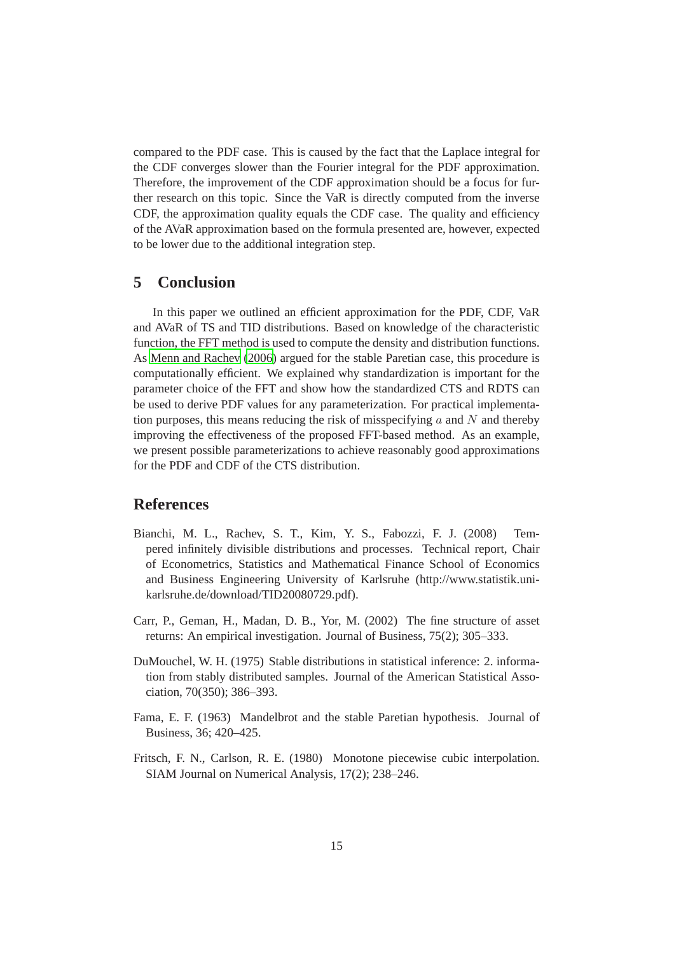compared to the PDF case. This is caused by the fact that the Laplace integral for the CDF converges slower than the Fourier integral for the PDF approximation. Therefore, the improvement of the CDF approximation should be a focus for further research on this topic. Since the VaR is directly computed from the inverse CDF, the approximation quality equals the CDF case. The quality and efficiency of the AVaR approximation based on the formula presented are, however, expected to be lower due to the additional integration step.

## **5 Conclusion**

In this paper we outlined an efficient approximation for the PDF, CDF, VaR and AVaR of TS and TID distributions. Based on knowledge of the characteristic function, the FFT method is used to compute the density and distribution functions. As [Menn and Rachev](#page-15-1) [\(2006\)](#page-15-1) argued for the stable Paretian case, this procedure is computationally efficient. We explained why standardization is important for the parameter choice of the FFT and show how the standardized CTS and RDTS can be used to derive PDF values for any parameterization. For practical implementation purposes, this means reducing the risk of misspecifying  $\alpha$  and  $N$  and thereby improving the effectiveness of the proposed FFT-based method. As an example, we present possible parameterizations to achieve reasonably good approximations for the PDF and CDF of the CTS distribution.

# **References**

- <span id="page-14-2"></span>Bianchi, M. L., Rachev, S. T., Kim, Y. S., Fabozzi, F. J. (2008) Tempered infinitely divisible distributions and processes. Technical report, Chair of Econometrics, Statistics and Mathematical Finance School of Economics and Business Engineering University of Karlsruhe (http://www.statistik.unikarlsruhe.de/download/TID20080729.pdf).
- <span id="page-14-1"></span>Carr, P., Geman, H., Madan, D. B., Yor, M. (2002) The fine structure of asset returns: An empirical investigation. Journal of Business, 75(2); 305–333.
- <span id="page-14-3"></span>DuMouchel, W. H. (1975) Stable distributions in statistical inference: 2. information from stably distributed samples. Journal of the American Statistical Association, 70(350); 386–393.
- <span id="page-14-0"></span>Fama, E. F. (1963) Mandelbrot and the stable Paretian hypothesis. Journal of Business, 36; 420–425.
- <span id="page-14-4"></span>Fritsch, F. N., Carlson, R. E. (1980) Monotone piecewise cubic interpolation. SIAM Journal on Numerical Analysis, 17(2); 238–246.